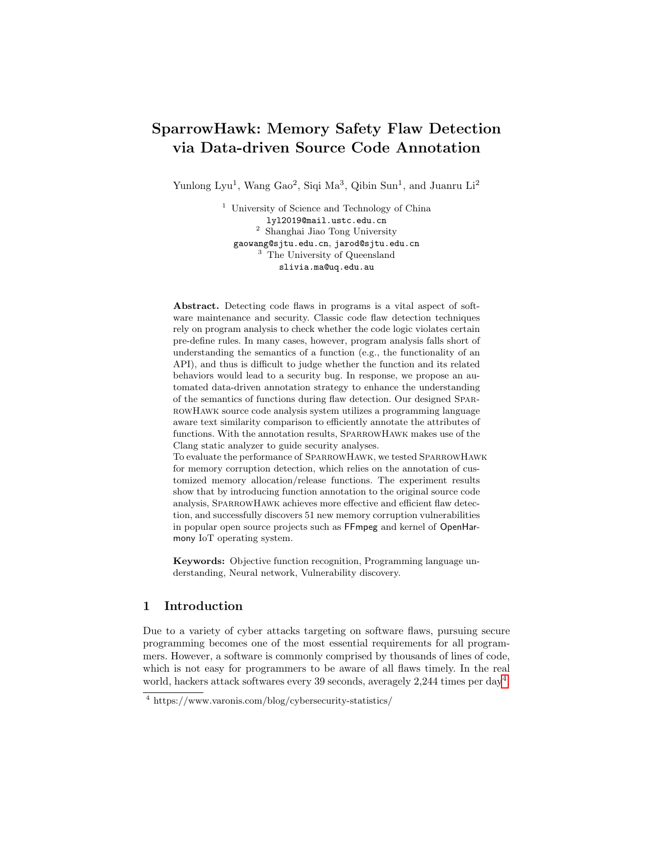# SparrowHawk: Memory Safety Flaw Detection via Data-driven Source Code Annotation

Yunlong Lyu<sup>1</sup>, Wang Gao<sup>2</sup>, Siqi Ma<sup>3</sup>, Qibin Sun<sup>1</sup>, and Juanru Li<sup>2</sup>

<sup>1</sup> University of Science and Technology of China lyl2019@mail.ustc.edu.cn <sup>2</sup> Shanghai Jiao Tong University gaowang@sjtu.edu.cn, jarod@sjtu.edu.cn <sup>3</sup> The University of Queensland slivia.ma@uq.edu.au

Abstract. Detecting code flaws in programs is a vital aspect of software maintenance and security. Classic code flaw detection techniques rely on program analysis to check whether the code logic violates certain pre-define rules. In many cases, however, program analysis falls short of understanding the semantics of a function (e.g., the functionality of an API), and thus is difficult to judge whether the function and its related behaviors would lead to a security bug. In response, we propose an automated data-driven annotation strategy to enhance the understanding of the semantics of functions during flaw detection. Our designed SparrowHawk source code analysis system utilizes a programming language aware text similarity comparison to efficiently annotate the attributes of functions. With the annotation results, SparrowHawk makes use of the Clang static analyzer to guide security analyses.

To evaluate the performance of SparrowHawk, we tested SparrowHawk for memory corruption detection, which relies on the annotation of customized memory allocation/release functions. The experiment results show that by introducing function annotation to the original source code analysis, SparrowHawk achieves more effective and efficient flaw detection, and successfully discovers 51 new memory corruption vulnerabilities in popular open source projects such as FFmpeg and kernel of OpenHarmony IoT operating system.

Keywords: Objective function recognition, Programming language understanding, Neural network, Vulnerability discovery.

## 1 Introduction

Due to a variety of cyber attacks targeting on software flaws, pursuing secure programming becomes one of the most essential requirements for all programmers. However, a software is commonly comprised by thousands of lines of code, which is not easy for programmers to be aware of all flaws timely. In the real world, hackers attack softwares every 39 seconds, averagely 2,2[4](#page-0-0)4 times per day<sup>4</sup>.

<span id="page-0-0"></span><sup>4</sup> https://www.varonis.com/blog/cybersecurity-statistics/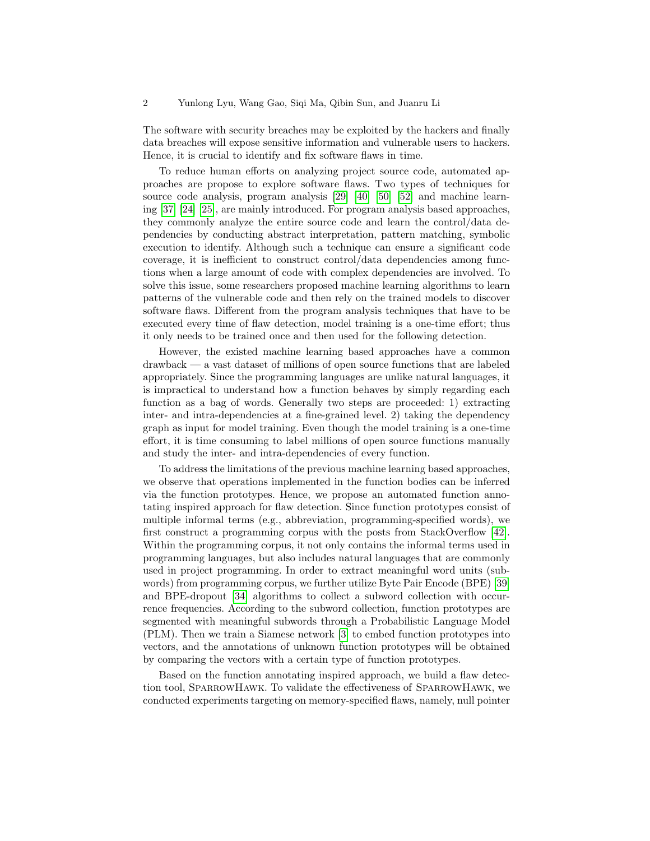The software with security breaches may be exploited by the hackers and finally data breaches will expose sensitive information and vulnerable users to hackers. Hence, it is crucial to identify and fix software flaws in time.

To reduce human efforts on analyzing project source code, automated approaches are propose to explore software flaws. Two types of techniques for source code analysis, program analysis [\[29\]](#page-17-0) [\[40\]](#page-18-0) [\[50\]](#page-18-1) [\[52\]](#page-19-0) and machine learning [\[37\]](#page-18-2) [\[24\]](#page-17-1) [\[25\]](#page-17-2), are mainly introduced. For program analysis based approaches, they commonly analyze the entire source code and learn the control/data dependencies by conducting abstract interpretation, pattern matching, symbolic execution to identify. Although such a technique can ensure a significant code coverage, it is inefficient to construct control/data dependencies among functions when a large amount of code with complex dependencies are involved. To solve this issue, some researchers proposed machine learning algorithms to learn patterns of the vulnerable code and then rely on the trained models to discover software flaws. Different from the program analysis techniques that have to be executed every time of flaw detection, model training is a one-time effort; thus it only needs to be trained once and then used for the following detection.

However, the existed machine learning based approaches have a common drawback — a vast dataset of millions of open source functions that are labeled appropriately. Since the programming languages are unlike natural languages, it is impractical to understand how a function behaves by simply regarding each function as a bag of words. Generally two steps are proceeded: 1) extracting inter- and intra-dependencies at a fine-grained level. 2) taking the dependency graph as input for model training. Even though the model training is a one-time effort, it is time consuming to label millions of open source functions manually and study the inter- and intra-dependencies of every function.

To address the limitations of the previous machine learning based approaches, we observe that operations implemented in the function bodies can be inferred via the function prototypes. Hence, we propose an automated function annotating inspired approach for flaw detection. Since function prototypes consist of multiple informal terms (e.g., abbreviation, programming-specified words), we first construct a programming corpus with the posts from StackOverflow [\[42\]](#page-18-3). Within the programming corpus, it not only contains the informal terms used in programming languages, but also includes natural languages that are commonly used in project programming. In order to extract meaningful word units (subwords) from programming corpus, we further utilize Byte Pair Encode (BPE) [\[39\]](#page-18-4) and BPE-dropout [\[34\]](#page-17-3) algorithms to collect a subword collection with occurrence frequencies. According to the subword collection, function prototypes are segmented with meaningful subwords through a Probabilistic Language Model (PLM). Then we train a Siamese network [\[3\]](#page-16-0) to embed function prototypes into vectors, and the annotations of unknown function prototypes will be obtained by comparing the vectors with a certain type of function prototypes.

Based on the function annotating inspired approach, we build a flaw detection tool, SparrowHawk. To validate the effectiveness of SparrowHawk, we conducted experiments targeting on memory-specified flaws, namely, null pointer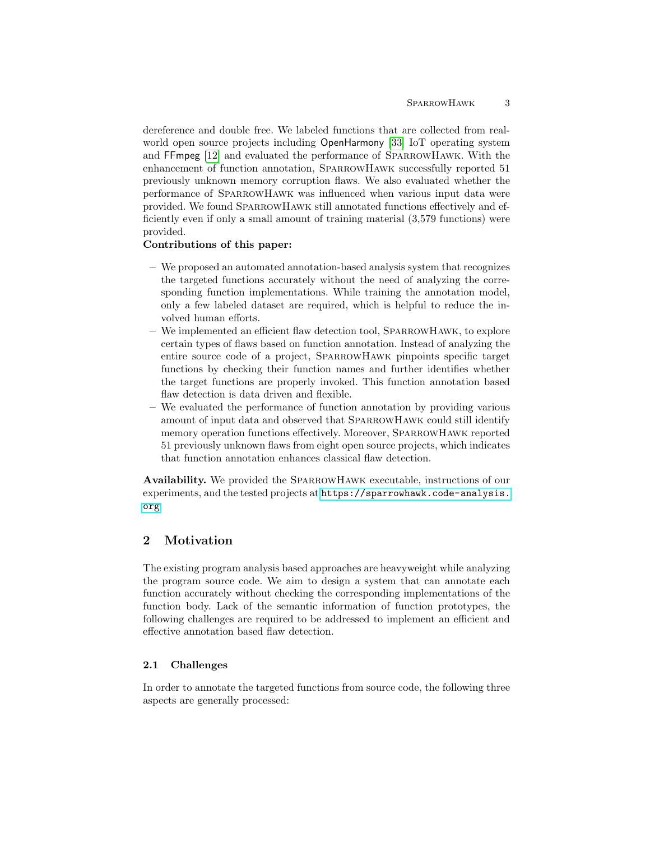dereference and double free. We labeled functions that are collected from realworld open source projects including OpenHarmony [\[33\]](#page-17-4) IoT operating system and FFmpeg [\[12\]](#page-17-5) and evaluated the performance of SparrowHawk. With the enhancement of function annotation, SparrowHawk successfully reported 51 previously unknown memory corruption flaws. We also evaluated whether the performance of SparrowHawk was influenced when various input data were provided. We found SparrowHawk still annotated functions effectively and efficiently even if only a small amount of training material (3,579 functions) were provided.

## Contributions of this paper:

- We proposed an automated annotation-based analysis system that recognizes the targeted functions accurately without the need of analyzing the corresponding function implementations. While training the annotation model, only a few labeled dataset are required, which is helpful to reduce the involved human efforts.
- We implemented an efficient flaw detection tool, SparrowHawk, to explore certain types of flaws based on function annotation. Instead of analyzing the entire source code of a project, SparrowHawk pinpoints specific target functions by checking their function names and further identifies whether the target functions are properly invoked. This function annotation based flaw detection is data driven and flexible.
- We evaluated the performance of function annotation by providing various amount of input data and observed that SparrowHawk could still identify memory operation functions effectively. Moreover, SparrowHawk reported 51 previously unknown flaws from eight open source projects, which indicates that function annotation enhances classical flaw detection.

Availability. We provided the SparrowHawk executable, instructions of our experiments, and the tested projects at [https://sparrowhawk.code-analysis.](https://sparrowhawk.code-analysis.org) [org](https://sparrowhawk.code-analysis.org).

# 2 Motivation

The existing program analysis based approaches are heavyweight while analyzing the program source code. We aim to design a system that can annotate each function accurately without checking the corresponding implementations of the function body. Lack of the semantic information of function prototypes, the following challenges are required to be addressed to implement an efficient and effective annotation based flaw detection.

## 2.1 Challenges

In order to annotate the targeted functions from source code, the following three aspects are generally processed: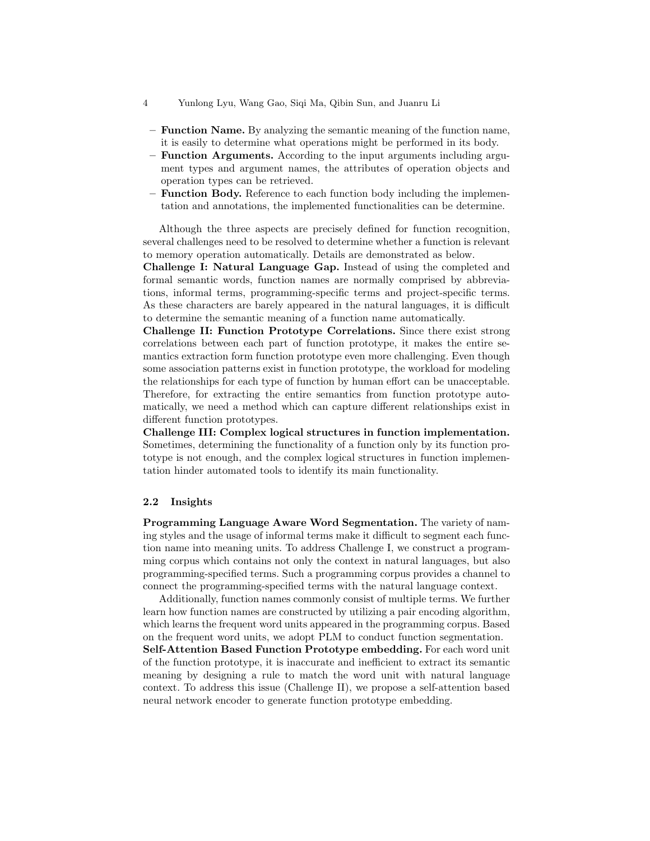- 4 Yunlong Lyu, Wang Gao, Siqi Ma, Qibin Sun, and Juanru Li
- Function Name. By analyzing the semantic meaning of the function name, it is easily to determine what operations might be performed in its body.
- Function Arguments. According to the input arguments including argument types and argument names, the attributes of operation objects and operation types can be retrieved.
- **Function Body.** Reference to each function body including the implementation and annotations, the implemented functionalities can be determine.

Although the three aspects are precisely defined for function recognition, several challenges need to be resolved to determine whether a function is relevant to memory operation automatically. Details are demonstrated as below.

Challenge I: Natural Language Gap. Instead of using the completed and formal semantic words, function names are normally comprised by abbreviations, informal terms, programming-specific terms and project-specific terms. As these characters are barely appeared in the natural languages, it is difficult to determine the semantic meaning of a function name automatically.

Challenge II: Function Prototype Correlations. Since there exist strong correlations between each part of function prototype, it makes the entire semantics extraction form function prototype even more challenging. Even though some association patterns exist in function prototype, the workload for modeling the relationships for each type of function by human effort can be unacceptable. Therefore, for extracting the entire semantics from function prototype automatically, we need a method which can capture different relationships exist in different function prototypes.

Challenge III: Complex logical structures in function implementation. Sometimes, determining the functionality of a function only by its function prototype is not enough, and the complex logical structures in function implementation hinder automated tools to identify its main functionality.

## 2.2 Insights

Programming Language Aware Word Segmentation. The variety of naming styles and the usage of informal terms make it difficult to segment each function name into meaning units. To address Challenge I, we construct a programming corpus which contains not only the context in natural languages, but also programming-specified terms. Such a programming corpus provides a channel to connect the programming-specified terms with the natural language context.

Additionally, function names commonly consist of multiple terms. We further learn how function names are constructed by utilizing a pair encoding algorithm, which learns the frequent word units appeared in the programming corpus. Based on the frequent word units, we adopt PLM to conduct function segmentation. Self-Attention Based Function Prototype embedding. For each word unit of the function prototype, it is inaccurate and inefficient to extract its semantic meaning by designing a rule to match the word unit with natural language context. To address this issue (Challenge II), we propose a self-attention based

neural network encoder to generate function prototype embedding.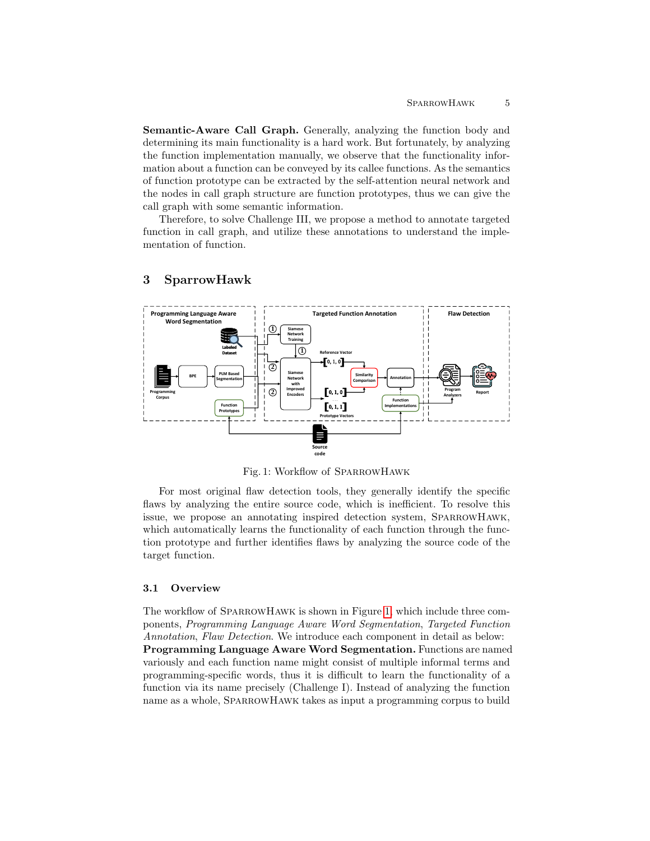Semantic-Aware Call Graph. Generally, analyzing the function body and determining its main functionality is a hard work. But fortunately, by analyzing the function implementation manually, we observe that the functionality information about a function can be conveyed by its callee functions. As the semantics of function prototype can be extracted by the self-attention neural network and the nodes in call graph structure are function prototypes, thus we can give the call graph with some semantic information.

Therefore, to solve Challenge III, we propose a method to annotate targeted function in call graph, and utilize these annotations to understand the implementation of function.

<span id="page-4-0"></span>

# 3 SparrowHawk

Fig. 1: Workflow of SparrowHawk

For most original flaw detection tools, they generally identify the specific flaws by analyzing the entire source code, which is inefficient. To resolve this issue, we propose an annotating inspired detection system, SparrowHawk, which automatically learns the functionality of each function through the function prototype and further identifies flaws by analyzing the source code of the target function.

## 3.1 Overview

The workflow of SparrowHawk is shown in Figure [1,](#page-4-0) which include three components, Programming Language Aware Word Segmentation, Targeted Function Annotation, Flaw Detection. We introduce each component in detail as below: Programming Language Aware Word Segmentation. Functions are named variously and each function name might consist of multiple informal terms and programming-specific words, thus it is difficult to learn the functionality of a function via its name precisely (Challenge I). Instead of analyzing the function name as a whole, SparrowHawk takes as input a programming corpus to build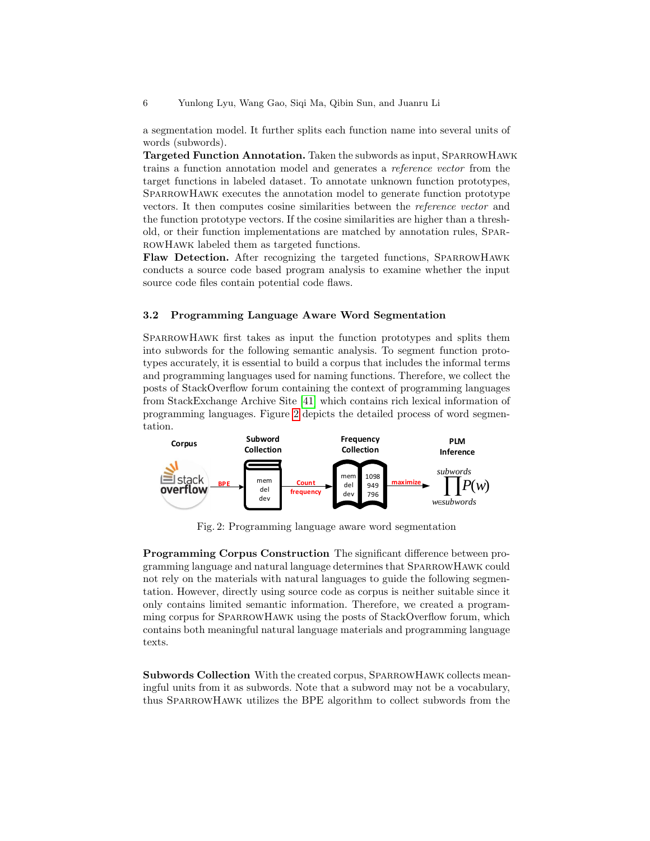a segmentation model. It further splits each function name into several units of words (subwords).

Targeted Function Annotation. Taken the subwords as input, SparrowHawk trains a function annotation model and generates a reference vector from the target functions in labeled dataset. To annotate unknown function prototypes, SPARROWHAWK executes the annotation model to generate function prototype vectors. It then computes cosine similarities between the reference vector and the function prototype vectors. If the cosine similarities are higher than a threshold, or their function implementations are matched by annotation rules, SparrowHawk labeled them as targeted functions.

Flaw Detection. After recognizing the targeted functions, SPARROWHAWK conducts a source code based program analysis to examine whether the input source code files contain potential code flaws.

#### 3.2 Programming Language Aware Word Segmentation

SparrowHawk first takes as input the function prototypes and splits them into subwords for the following semantic analysis. To segment function prototypes accurately, it is essential to build a corpus that includes the informal terms and programming languages used for naming functions. Therefore, we collect the posts of StackOverflow forum containing the context of programming languages from StackExchange Archive Site [\[41\]](#page-18-5) which contains rich lexical information of programming languages. Figure [2](#page-5-0) depicts the detailed process of word segmentation.

<span id="page-5-0"></span>

Fig. 2: Programming language aware word segmentation

Programming Corpus Construction The significant difference between programming language and natural language determines that SparrowHawk could not rely on the materials with natural languages to guide the following segmentation. However, directly using source code as corpus is neither suitable since it only contains limited semantic information. Therefore, we created a programming corpus for SparrowHawk using the posts of StackOverflow forum, which contains both meaningful natural language materials and programming language texts.

Subwords Collection With the created corpus, SparrowHawk collects meaningful units from it as subwords. Note that a subword may not be a vocabulary, thus SparrowHawk utilizes the BPE algorithm to collect subwords from the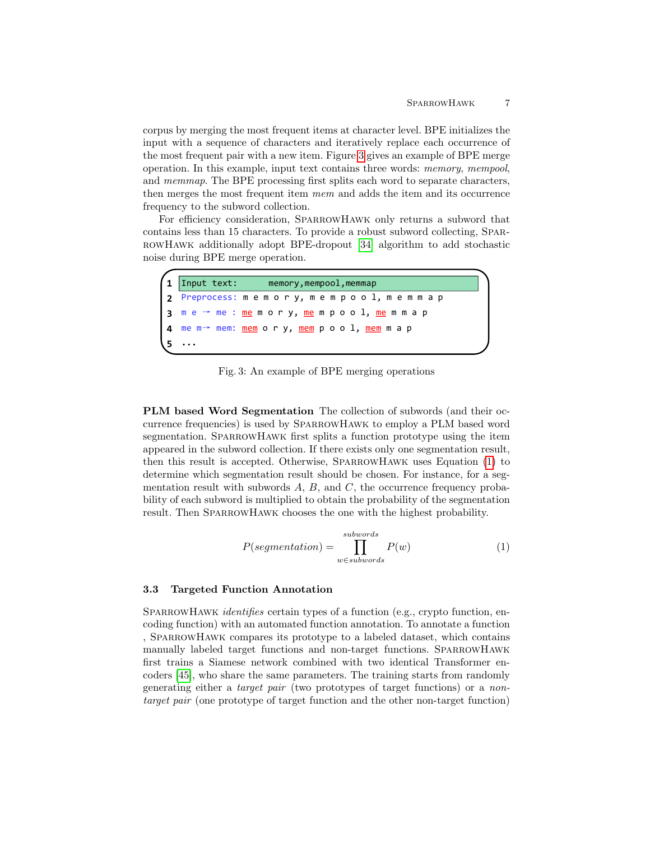corpus by merging the most frequent items at character level. BPE initializes the input with a sequence of characters and iteratively replace each occurrence of the most frequent pair with a new item. Figure [3](#page-6-0) gives an example of BPE merge operation. In this example, input text contains three words: memory, mempool, and memmap. The BPE processing first splits each word to separate characters, then merges the most frequent item mem and adds the item and its occurrence frequency to the subword collection.

For efficiency consideration, SPARROWHAWK only returns a subword that contains less than 15 characters. To provide a robust subword collecting, SparrowHawk additionally adopt BPE-dropout [\[34\]](#page-17-3) algorithm to add stochastic noise during BPE merge operation.

<span id="page-6-0"></span>

| (1 <sup>o</sup> ) | Input text: memory, mempool, memmap |                                                                                |  |  |  |
|-------------------|-------------------------------------|--------------------------------------------------------------------------------|--|--|--|
|                   |                                     | 2 Preprocess: memory, mempool, memmap                                          |  |  |  |
|                   |                                     | <b> 3</b> m e → me : <u>me</u> m o r y, <u>me</u> m p o o l, <u>me</u> m m a p |  |  |  |
|                   |                                     | <b> 4</b> me m→ mem: <u>mem</u> ory, <u>mem</u> pool, <u>mem</u> m a p         |  |  |  |
|                   | $\cdots$                            |                                                                                |  |  |  |

Fig. 3: An example of BPE merging operations

PLM based Word Segmentation The collection of subwords (and their occurrence frequencies) is used by SparrowHawk to employ a PLM based word segmentation. SPARROWHAWK first splits a function prototype using the item appeared in the subword collection. If there exists only one segmentation result, then this result is accepted. Otherwise, SparrowHawk uses Equation [\(1\)](#page-6-1) to determine which segmentation result should be chosen. For instance, for a segmentation result with subwords  $A, B$ , and  $C$ , the occurrence frequency probability of each subword is multiplied to obtain the probability of the segmentation result. Then SparrowHawk chooses the one with the highest probability.

<span id="page-6-1"></span>
$$
P(\text{segmentation}) = \prod_{w \in \text{subwords}}^{\text{subwords}} P(w) \tag{1}
$$

## 3.3 Targeted Function Annotation

SPARROWHAWK *identifies* certain types of a function (e.g., crypto function, encoding function) with an automated function annotation. To annotate a function , SparrowHawk compares its prototype to a labeled dataset, which contains manually labeled target functions and non-target functions. SparrowHawk first trains a Siamese network combined with two identical Transformer encoders [\[45\]](#page-18-6), who share the same parameters. The training starts from randomly generating either a target pair (two prototypes of target functions) or a nontarget pair (one prototype of target function and the other non-target function)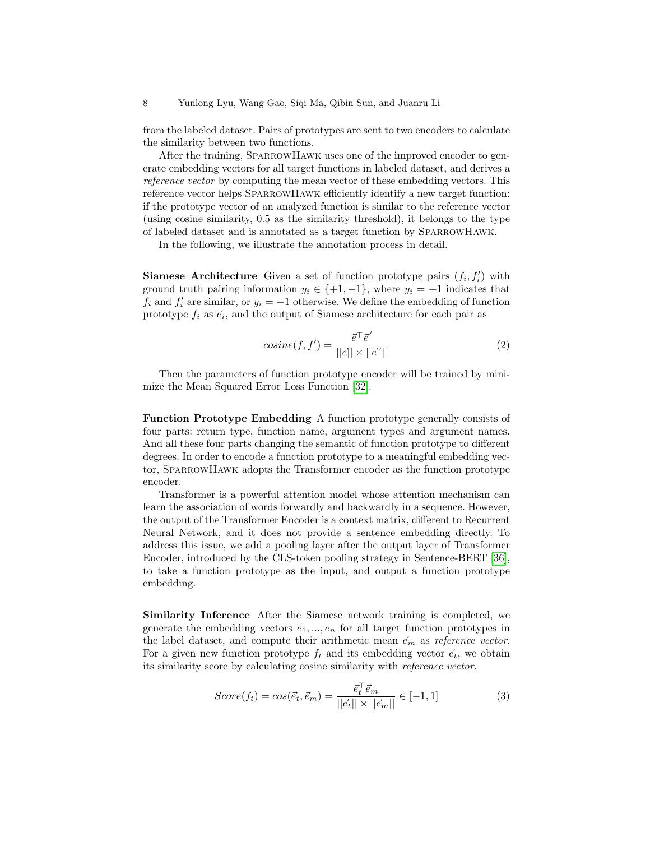from the labeled dataset. Pairs of prototypes are sent to two encoders to calculate the similarity between two functions.

After the training, SPARROWHAWK uses one of the improved encoder to generate embedding vectors for all target functions in labeled dataset, and derives a reference vector by computing the mean vector of these embedding vectors. This reference vector helps SPARROWHAWK efficiently identify a new target function: if the prototype vector of an analyzed function is similar to the reference vector (using cosine similarity, 0.5 as the similarity threshold), it belongs to the type of labeled dataset and is annotated as a target function by SparrowHawk.

In the following, we illustrate the annotation process in detail.

**Siamese Architecture** Given a set of function prototype pairs  $(f_i, f'_i)$  with ground truth pairing information  $y_i \in \{+1, -1\}$ , where  $y_i = +1$  indicates that  $f_i$  and  $f'_i$  are similar, or  $y_i = -1$  otherwise. We define the embedding of function prototype  $f_i$  as  $\vec{e}_i$ , and the output of Siamese architecture for each pair as

$$
cosine(f, f') = \frac{\vec{e}^\top \vec{e}'}{||\vec{e}|| \times ||\vec{e}'||}
$$
\n(2)

Then the parameters of function prototype encoder will be trained by minimize the Mean Squared Error Loss Function [\[32\]](#page-17-6).

Function Prototype Embedding A function prototype generally consists of four parts: return type, function name, argument types and argument names. And all these four parts changing the semantic of function prototype to different degrees. In order to encode a function prototype to a meaningful embedding vector, SparrowHawk adopts the Transformer encoder as the function prototype encoder.

Transformer is a powerful attention model whose attention mechanism can learn the association of words forwardly and backwardly in a sequence. However, the output of the Transformer Encoder is a context matrix, different to Recurrent Neural Network, and it does not provide a sentence embedding directly. To address this issue, we add a pooling layer after the output layer of Transformer Encoder, introduced by the CLS-token pooling strategy in Sentence-BERT [\[36\]](#page-18-7), to take a function prototype as the input, and output a function prototype embedding.

Similarity Inference After the Siamese network training is completed, we generate the embedding vectors  $e_1, ..., e_n$  for all target function prototypes in the label dataset, and compute their arithmetic mean  $\vec{e}_m$  as reference vector. For a given new function prototype  $f_t$  and its embedding vector  $\vec{e}_t$ , we obtain its similarity score by calculating cosine similarity with reference vector.

$$
Score(f_t) = cos(\vec{e_t}, \vec{e}_m) = \frac{\vec{e}_t^{\top} \vec{e}_m}{||\vec{e}_t|| \times ||\vec{e}_m||} \in [-1, 1]
$$
\n(3)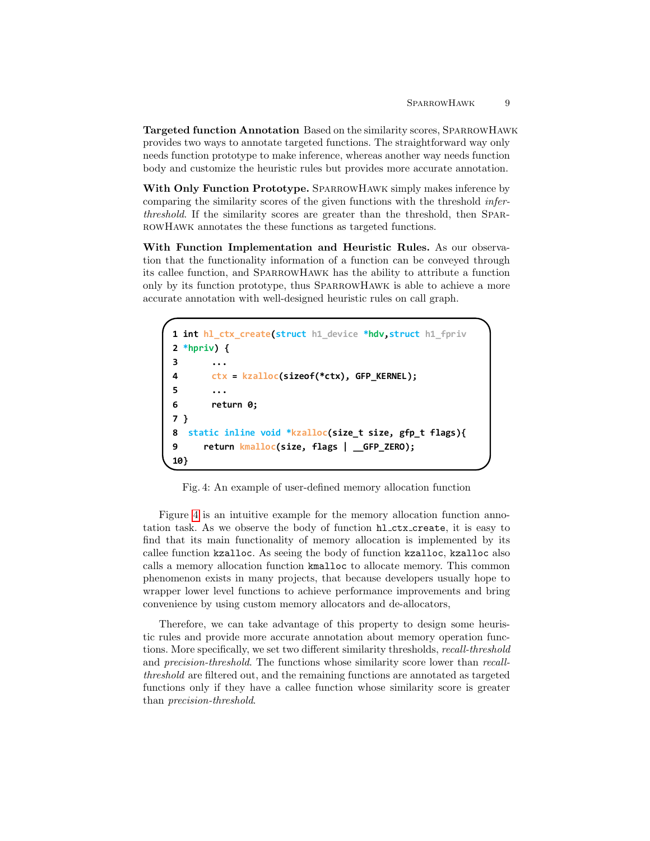Targeted function Annotation Based on the similarity scores, SparrowHawk provides two ways to annotate targeted functions. The straightforward way only needs function prototype to make inference, whereas another way needs function body and customize the heuristic rules but provides more accurate annotation.

With Only Function Prototype. SPARROWHAWK simply makes inference by comparing the similarity scores of the given functions with the threshold inferthreshold. If the similarity scores are greater than the threshold, then SparrowHawk annotates the these functions as targeted functions.

With Function Implementation and Heuristic Rules. As our observation that the functionality information of a function can be conveyed through its callee function, and SparrowHawk has the ability to attribute a function only by its function prototype, thus SparrowHawk is able to achieve a more accurate annotation with well-designed heuristic rules on call graph.

```
1
int hl_ctx_create(struct h1_device *hdv,struct h1_fpriv 
2
*hpriv) {
3
4
5
6
7
}
8
9
10
}
        ...
        ctx = kzalloc(sizeof(*ctx), GFP_KERNEL);
        ...
       return 0;
   static inline void *kzalloc(size_t size, gfp_t flags){
       return kmalloc(size, flags | __GFP_ZERO);
```
Fig. 4: An example of user-defined memory allocation function

Figure [4](#page-8-0) is an intuitive example for the memory allocation function annotation task. As we observe the body of function hl ctx create, it is easy to find that its main functionality of memory allocation is implemented by its callee function kzalloc. As seeing the body of function kzalloc, kzalloc also calls a memory allocation function kmalloc to allocate memory. This common phenomenon exists in many projects, that because developers usually hope to wrapper lower level functions to achieve performance improvements and bring convenience by using custom memory allocators and de-allocators,

Therefore, we can take advantage of this property to design some heuristic rules and provide more accurate annotation about memory operation functions. More specifically, we set two different similarity thresholds, recall-threshold and precision-threshold. The functions whose similarity score lower than recallthreshold are filtered out, and the remaining functions are annotated as targeted functions only if they have a callee function whose similarity score is greater than precision-threshold.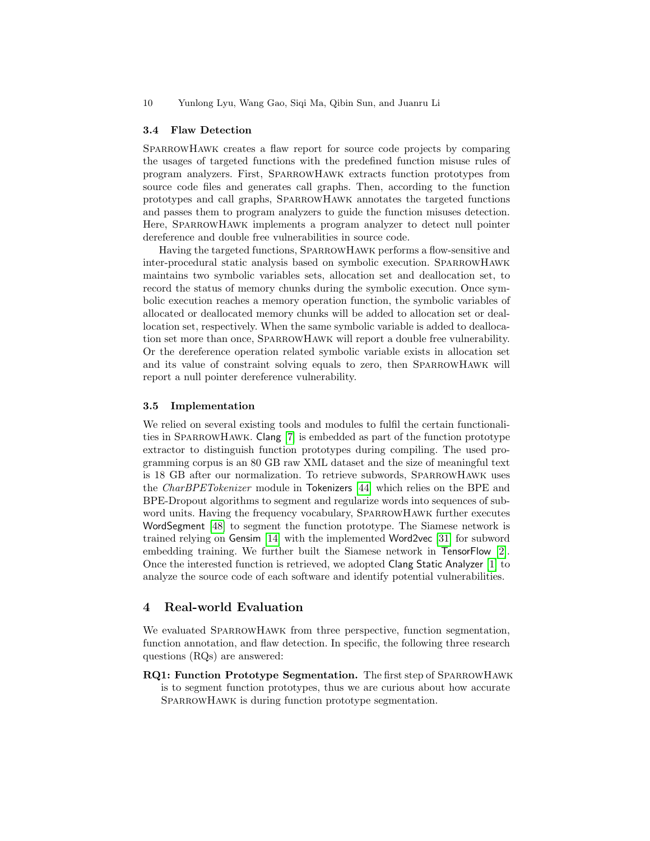#### 3.4 Flaw Detection

SPARROWHAWK creates a flaw report for source code projects by comparing the usages of targeted functions with the predefined function misuse rules of program analyzers. First, SparrowHawk extracts function prototypes from source code files and generates call graphs. Then, according to the function prototypes and call graphs, SparrowHawk annotates the targeted functions and passes them to program analyzers to guide the function misuses detection. Here, SPARROWHAWK implements a program analyzer to detect null pointer dereference and double free vulnerabilities in source code.

Having the targeted functions, SparrowHawk performs a flow-sensitive and inter-procedural static analysis based on symbolic execution. SparrowHawk maintains two symbolic variables sets, allocation set and deallocation set, to record the status of memory chunks during the symbolic execution. Once symbolic execution reaches a memory operation function, the symbolic variables of allocated or deallocated memory chunks will be added to allocation set or deallocation set, respectively. When the same symbolic variable is added to deallocation set more than once, SparrowHawk will report a double free vulnerability. Or the dereference operation related symbolic variable exists in allocation set and its value of constraint solving equals to zero, then SparrowHawk will report a null pointer dereference vulnerability.

#### 3.5 Implementation

We relied on several existing tools and modules to fulfil the certain functionali-ties in SPARROWHAWK. Clang [\[7\]](#page-16-1) is embedded as part of the function prototype extractor to distinguish function prototypes during compiling. The used programming corpus is an 80 GB raw XML dataset and the size of meaningful text is 18 GB after our normalization. To retrieve subwords, SparrowHawk uses the CharBPETokenizer module in Tokenizers [\[44\]](#page-18-8) which relies on the BPE and BPE-Dropout algorithms to segment and regularize words into sequences of subword units. Having the frequency vocabulary, SparrowHawk further executes WordSegment [\[48\]](#page-18-9) to segment the function prototype. The Siamese network is trained relying on Gensim [\[14\]](#page-17-7) with the implemented Word2vec [\[31\]](#page-17-8) for subword embedding training. We further built the Siamese network in TensorFlow [\[2\]](#page-16-2). Once the interested function is retrieved, we adopted Clang Static Analyzer [\[1\]](#page-16-3) to analyze the source code of each software and identify potential vulnerabilities.

## 4 Real-world Evaluation

We evaluated SPARROWHAWK from three perspective, function segmentation, function annotation, and flaw detection. In specific, the following three research questions (RQs) are answered:

RQ1: Function Prototype Segmentation. The first step of SparrowHawk is to segment function prototypes, thus we are curious about how accurate SPARROWHAWK is during function prototype segmentation.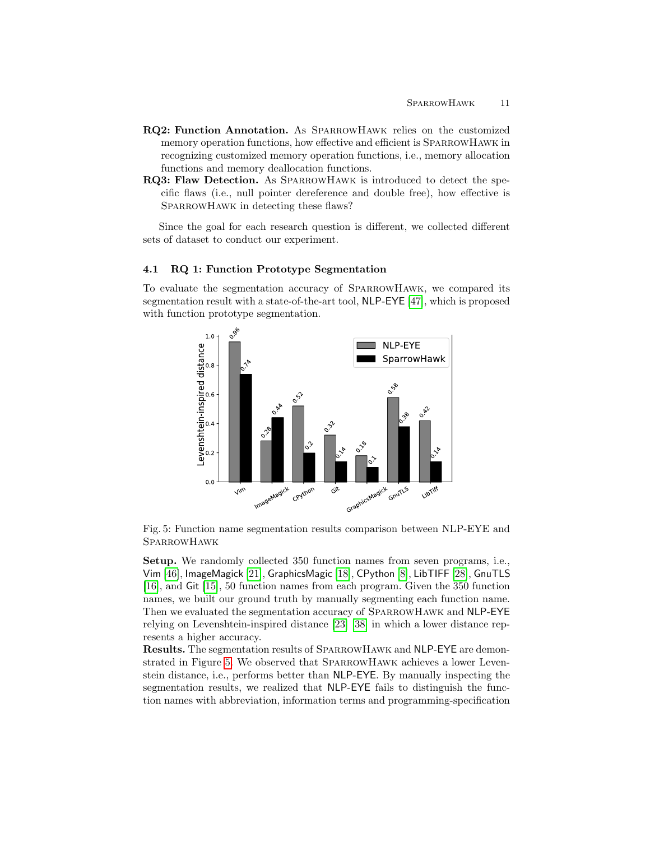- RQ2: Function Annotation. As SparrowHawk relies on the customized memory operation functions, how effective and efficient is SparrowHawk in recognizing customized memory operation functions, i.e., memory allocation functions and memory deallocation functions.
- RQ3: Flaw Detection. As SparrowHawk is introduced to detect the specific flaws (i.e., null pointer dereference and double free), how effective is SPARROWHAWK in detecting these flaws?

Since the goal for each research question is different, we collected different sets of dataset to conduct our experiment.

## 4.1 RQ 1: Function Prototype Segmentation

<span id="page-10-0"></span>To evaluate the segmentation accuracy of SparrowHawk, we compared its segmentation result with a state-of-the-art tool, NLP-EYE [\[47\]](#page-18-10), which is proposed with function prototype segmentation.



Fig. 5: Function name segmentation results comparison between NLP-EYE and **SPARROWHAWK** 

Setup. We randomly collected 350 function names from seven programs, i.e., Vim [\[46\]](#page-18-11), ImageMagick [\[21\]](#page-17-9), GraphicsMagic [\[18\]](#page-17-10), CPython [\[8\]](#page-16-4), LibTIFF [\[28\]](#page-17-11), GnuTLS [\[16\]](#page-17-12), and Git [\[15\]](#page-17-13), 50 function names from each program. Given the 350 function names, we built our ground truth by manually segmenting each function name. Then we evaluated the segmentation accuracy of SparrowHawk and NLP-EYE relying on Levenshtein-inspired distance [\[23\]](#page-17-14) [\[38\]](#page-18-12) in which a lower distance represents a higher accuracy.

Results. The segmentation results of SparrowHawk and NLP-EYE are demonstrated in Figure [5.](#page-10-0) We observed that SparrowHawk achieves a lower Levenstein distance, i.e., performs better than NLP-EYE. By manually inspecting the segmentation results, we realized that NLP-EYE fails to distinguish the function names with abbreviation, information terms and programming-specification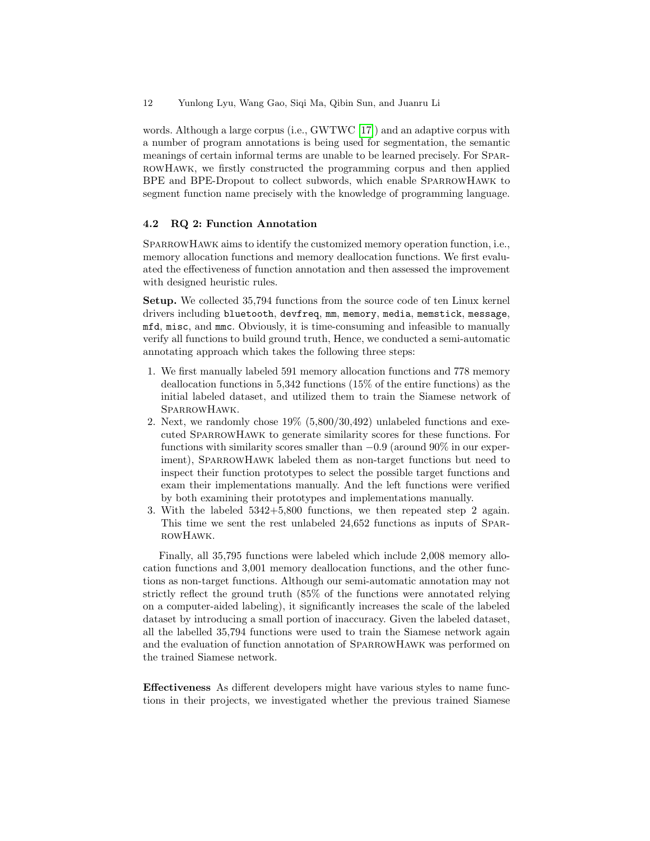words. Although a large corpus (i.e., GWTWC [\[17\]](#page-17-15)) and an adaptive corpus with a number of program annotations is being used for segmentation, the semantic meanings of certain informal terms are unable to be learned precisely. For SparrowHawk, we firstly constructed the programming corpus and then applied BPE and BPE-Dropout to collect subwords, which enable SparrowHawk to segment function name precisely with the knowledge of programming language.

## 4.2 RQ 2: Function Annotation

SPARROWHAWK aims to identify the customized memory operation function, i.e., memory allocation functions and memory deallocation functions. We first evaluated the effectiveness of function annotation and then assessed the improvement with designed heuristic rules.

Setup. We collected 35,794 functions from the source code of ten Linux kernel drivers including bluetooth, devfreq, mm, memory, media, memstick, message, mfd, misc, and mmc. Obviously, it is time-consuming and infeasible to manually verify all functions to build ground truth, Hence, we conducted a semi-automatic annotating approach which takes the following three steps:

- 1. We first manually labeled 591 memory allocation functions and 778 memory deallocation functions in 5,342 functions (15% of the entire functions) as the initial labeled dataset, and utilized them to train the Siamese network of SparrowHawk.
- 2. Next, we randomly chose 19% (5,800/30,492) unlabeled functions and executed SparrowHawk to generate similarity scores for these functions. For functions with similarity scores smaller than  $-0.9$  (around 90% in our experiment), SPARROWHAWK labeled them as non-target functions but need to inspect their function prototypes to select the possible target functions and exam their implementations manually. And the left functions were verified by both examining their prototypes and implementations manually.
- 3. With the labeled 5342+5,800 functions, we then repeated step 2 again. This time we sent the rest unlabeled 24,652 functions as inputs of SparrowHawk.

Finally, all 35,795 functions were labeled which include 2,008 memory allocation functions and 3,001 memory deallocation functions, and the other functions as non-target functions. Although our semi-automatic annotation may not strictly reflect the ground truth (85% of the functions were annotated relying on a computer-aided labeling), it significantly increases the scale of the labeled dataset by introducing a small portion of inaccuracy. Given the labeled dataset, all the labelled 35,794 functions were used to train the Siamese network again and the evaluation of function annotation of SparrowHawk was performed on the trained Siamese network.

Effectiveness As different developers might have various styles to name functions in their projects, we investigated whether the previous trained Siamese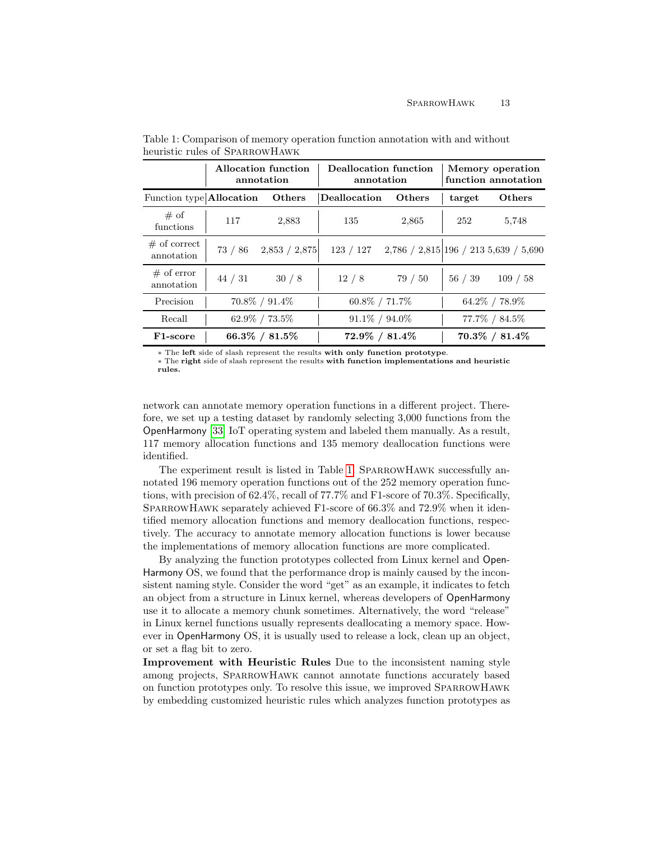|                            | Allocation function<br>annotation |                   | Deallocation function<br>annotation |                                         | Memory operation<br>function annotation |                   |
|----------------------------|-----------------------------------|-------------------|-------------------------------------|-----------------------------------------|-----------------------------------------|-------------------|
| Function type Allocation   |                                   | Others            | <b>Deallocation</b>                 | Others                                  | target                                  | Others            |
| # of<br>functions          | 117                               | 2,883             | 135                                 | 2,865                                   | 252                                     | 5,748             |
| # of correct<br>annotation | 73 / 86                           | 2,853 / 2,875     | 123 / 127                           | $2,786 / 2,815$ 196 / 213 5,639 / 5,690 |                                         |                   |
| $#$ of error<br>annotation | 44 / 31                           | 30/8              | 12/8                                | 79 / 50                                 | 56/39                                   | 109 / 58          |
| Precision                  |                                   | $70.8\% / 91.4\%$ | $60.8\% / 71.7\%$                   |                                         |                                         | 64.2% / 78.9%     |
| Recall                     |                                   | $62.9\% / 73.5\%$ | $91.1\% / 94.0\%$                   |                                         |                                         | 77.7% / 84.5%     |
| F <sub>1</sub> -score      |                                   | 66.3% / $81.5\%$  | $72.9\% / 81.4\%$                   |                                         |                                         | $70.3\% / 81.4\%$ |

<span id="page-12-0"></span>Table 1: Comparison of memory operation function annotation with and without heuristic rules of SparrowHawk

∗ The left side of slash represent the results with only function prototype.

∗ The right side of slash represent the results with function implementations and heuristic rules.

network can annotate memory operation functions in a different project. Therefore, we set up a testing dataset by randomly selecting 3,000 functions from the OpenHarmony [\[33\]](#page-17-4) IoT operating system and labeled them manually. As a result, 117 memory allocation functions and 135 memory deallocation functions were identified.

The experiment result is listed in Table [1.](#page-12-0) SPARROWHAWK successfully annotated 196 memory operation functions out of the 252 memory operation functions, with precision of 62.4%, recall of 77.7% and F1-score of 70.3%. Specifically, SPARROWHAWK separately achieved F1-score of 66.3% and 72.9% when it identified memory allocation functions and memory deallocation functions, respectively. The accuracy to annotate memory allocation functions is lower because the implementations of memory allocation functions are more complicated.

By analyzing the function prototypes collected from Linux kernel and Open-Harmony OS, we found that the performance drop is mainly caused by the inconsistent naming style. Consider the word "get" as an example, it indicates to fetch an object from a structure in Linux kernel, whereas developers of OpenHarmony use it to allocate a memory chunk sometimes. Alternatively, the word "release" in Linux kernel functions usually represents deallocating a memory space. However in OpenHarmony OS, it is usually used to release a lock, clean up an object, or set a flag bit to zero.

Improvement with Heuristic Rules Due to the inconsistent naming style among projects, SparrowHawk cannot annotate functions accurately based on function prototypes only. To resolve this issue, we improved SparrowHawk by embedding customized heuristic rules which analyzes function prototypes as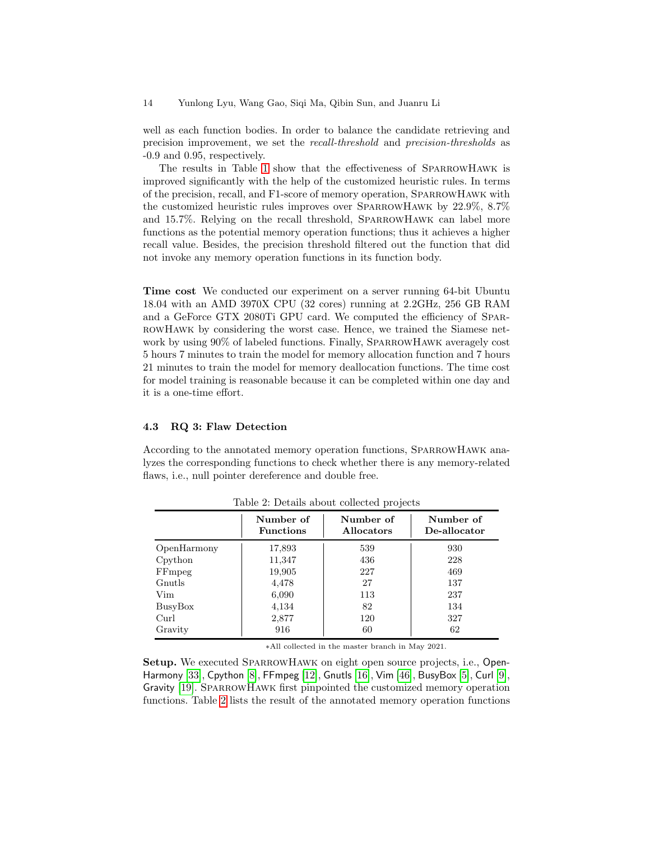well as each function bodies. In order to balance the candidate retrieving and precision improvement, we set the recall-threshold and precision-thresholds as -0.9 and 0.95, respectively.

The results in Table [1](#page-12-0) show that the effectiveness of SparrowHawk is improved significantly with the help of the customized heuristic rules. In terms of the precision, recall, and F1-score of memory operation, SparrowHawk with the customized heuristic rules improves over SPARROWHAWK by 22.9%, 8.7% and 15.7%. Relying on the recall threshold, SparrowHawk can label more functions as the potential memory operation functions; thus it achieves a higher recall value. Besides, the precision threshold filtered out the function that did not invoke any memory operation functions in its function body.

Time cost We conducted our experiment on a server running 64-bit Ubuntu 18.04 with an AMD 3970X CPU (32 cores) running at 2.2GHz, 256 GB RAM and a GeForce GTX 2080Ti GPU card. We computed the efficiency of SparrowHawk by considering the worst case. Hence, we trained the Siamese network by using  $90\%$  of labeled functions. Finally, SPARROWHAWK averagely cost 5 hours 7 minutes to train the model for memory allocation function and 7 hours 21 minutes to train the model for memory deallocation functions. The time cost for model training is reasonable because it can be completed within one day and it is a one-time effort.

## 4.3 RQ 3: Flaw Detection

According to the annotated memory operation functions, SparrowHawk analyzes the corresponding functions to check whether there is any memory-related flaws, i.e., null pointer dereference and double free.

<span id="page-13-0"></span>

|             | Number of<br><b>Functions</b> | Number of<br><b>Allocators</b> | Number of<br>De-allocator |
|-------------|-------------------------------|--------------------------------|---------------------------|
| OpenHarmony | 17,893                        | 539                            | 930                       |
| Cpython     | 11,347                        | 436                            | 228                       |
| FFmpeg      | 19,905                        | 227                            | 469                       |
| Gnutls      | 4,478                         | 27                             | 137                       |
| Vim         | 6,090                         | 113                            | 237                       |
| BusyBox     | 4,134                         | 82                             | 134                       |
| Curl        | 2,877                         | 120                            | 327                       |
| Gravity     | 916                           | 60                             | 62                        |

Table 2: Details about collected projects

∗All collected in the master branch in May 2021.

Setup. We executed SPARROWHAWK on eight open source projects, i.e., Open-Harmony [\[33\]](#page-17-4), Cpython [\[8\]](#page-16-4), FFmpeg [\[12\]](#page-17-5), Gnutls [\[16\]](#page-17-12), Vim [\[46\]](#page-18-11), BusyBox [\[5\]](#page-16-5), Curl [\[9\]](#page-16-6), Gravity [\[19\]](#page-17-16). SparrowHawk first pinpointed the customized memory operation functions. Table [2](#page-13-0) lists the result of the annotated memory operation functions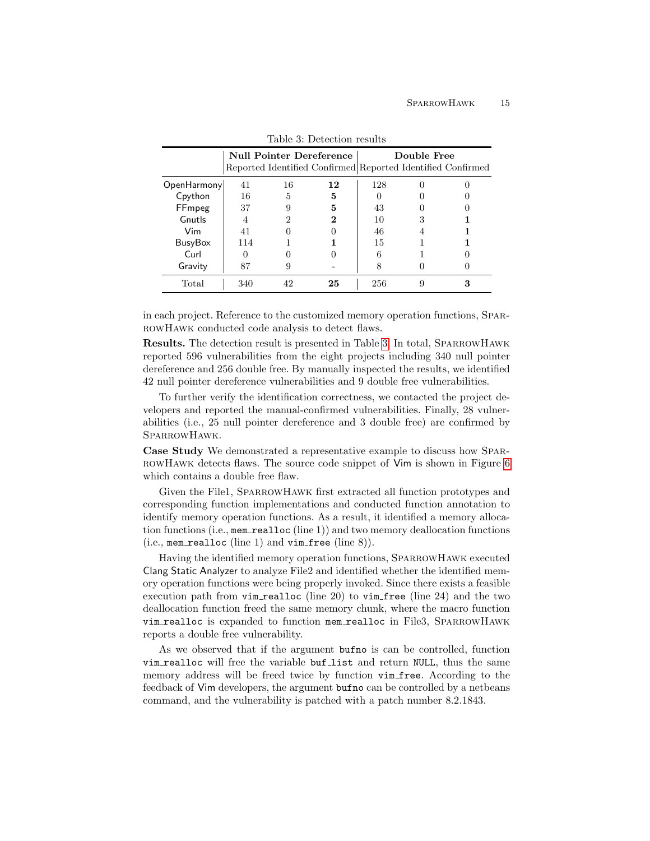<span id="page-14-0"></span>

|                |     |    | <b>Null Pointer Dereference</b> |     | Double Free | Reported Identified Confirmed Reported Identified Confirmed |
|----------------|-----|----|---------------------------------|-----|-------------|-------------------------------------------------------------|
| OpenHarmony    | 41  | 16 | 12                              | 128 |             |                                                             |
| Cpython        | 16  | 5  | 5                               |     |             |                                                             |
| FFmpeg         | 37  | 9  | 5                               | 43  |             |                                                             |
| Gnutls         | 4   | 2  | 2                               | 10  |             |                                                             |
| Vim            | 41  |    |                                 | 46  |             |                                                             |
| <b>BusyBox</b> | 114 |    |                                 | 15  |             |                                                             |
| Curl           | 0   |    |                                 | 6   |             |                                                             |
| Gravity        | 87  | 9  |                                 |     |             |                                                             |
| Total          | 340 | 42 | 25                              | 256 |             |                                                             |

Table 3: Detection results

in each project. Reference to the customized memory operation functions, SparrowHawk conducted code analysis to detect flaws.

Results. The detection result is presented in Table [3.](#page-14-0) In total, SparrowHawk reported 596 vulnerabilities from the eight projects including 340 null pointer dereference and 256 double free. By manually inspected the results, we identified 42 null pointer dereference vulnerabilities and 9 double free vulnerabilities.

To further verify the identification correctness, we contacted the project developers and reported the manual-confirmed vulnerabilities. Finally, 28 vulnerabilities (i.e., 25 null pointer dereference and 3 double free) are confirmed by SparrowHawk.

Case Study We demonstrated a representative example to discuss how Spar-ROWHAWK detects flaws. The source code snippet of Vim is shown in Figure [6](#page-20-0) which contains a double free flaw.

Given the File1, SparrowHawk first extracted all function prototypes and corresponding function implementations and conducted function annotation to identify memory operation functions. As a result, it identified a memory allocation functions (i.e., mem realloc (line 1)) and two memory deallocation functions (i.e., mem\_realloc (line 1) and  $vim\_free$  (line 8)).

Having the identified memory operation functions, SparrowHawk executed Clang Static Analyzer to analyze File2 and identified whether the identified memory operation functions were being properly invoked. Since there exists a feasible execution path from vim realloc (line 20) to vim free (line 24) and the two deallocation function freed the same memory chunk, where the macro function vim realloc is expanded to function mem realloc in File3, SparrowHawk reports a double free vulnerability.

As we observed that if the argument bufno is can be controlled, function vim realloc will free the variable buf list and return NULL, thus the same memory address will be freed twice by function vim free. According to the feedback of Vim developers, the argument bufno can be controlled by a netbeans command, and the vulnerability is patched with a patch number 8.2.1843.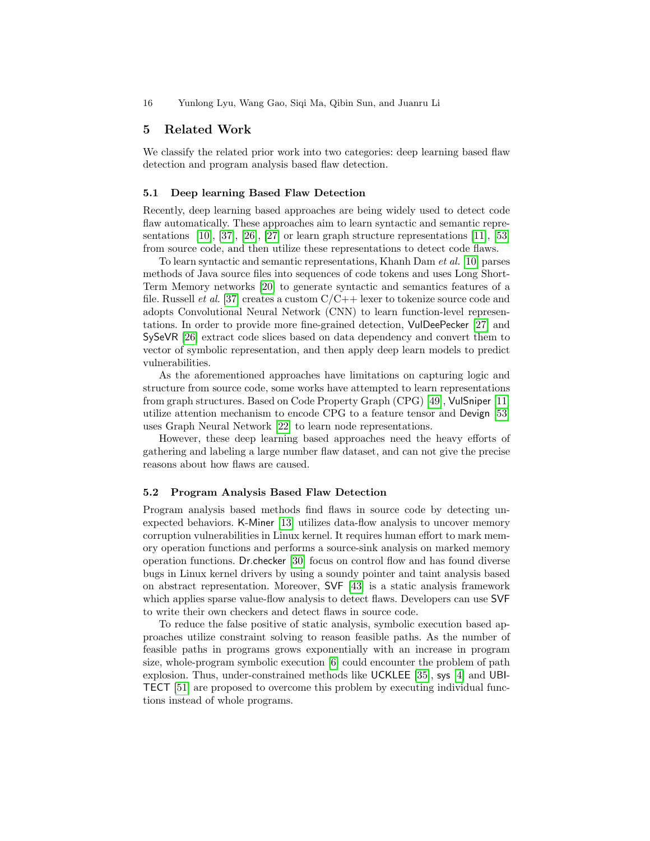## 5 Related Work

We classify the related prior work into two categories: deep learning based flaw detection and program analysis based flaw detection.

## 5.1 Deep learning Based Flaw Detection

Recently, deep learning based approaches are being widely used to detect code flaw automatically. These approaches aim to learn syntactic and semantic representations [\[10\]](#page-16-7), [\[37\]](#page-18-2), [\[26\]](#page-17-17), [\[27\]](#page-17-18) or learn graph structure representations [\[11\]](#page-17-19), [\[53\]](#page-19-1) from source code, and then utilize these representations to detect code flaws.

To learn syntactic and semantic representations, Khanh Dam et al. [\[10\]](#page-16-7) parses methods of Java source files into sequences of code tokens and uses Long Short-Term Memory networks [\[20\]](#page-17-20) to generate syntactic and semantics features of a file. Russell *et al.* [\[37\]](#page-18-2) creates a custom  $C/C++$  lexer to tokenize source code and adopts Convolutional Neural Network (CNN) to learn function-level representations. In order to provide more fine-grained detection, VulDeePecker [\[27\]](#page-17-18) and SySeVR [\[26\]](#page-17-17) extract code slices based on data dependency and convert them to vector of symbolic representation, and then apply deep learn models to predict vulnerabilities.

As the aforementioned approaches have limitations on capturing logic and structure from source code, some works have attempted to learn representations from graph structures. Based on Code Property Graph (CPG) [\[49\]](#page-18-13), VulSniper [\[11\]](#page-17-19) utilize attention mechanism to encode CPG to a feature tensor and Devign [\[53\]](#page-19-1) uses Graph Neural Network [\[22\]](#page-17-21) to learn node representations.

However, these deep learning based approaches need the heavy efforts of gathering and labeling a large number flaw dataset, and can not give the precise reasons about how flaws are caused.

#### 5.2 Program Analysis Based Flaw Detection

Program analysis based methods find flaws in source code by detecting unexpected behaviors. K-Miner [\[13\]](#page-17-22) utilizes data-flow analysis to uncover memory corruption vulnerabilities in Linux kernel. It requires human effort to mark memory operation functions and performs a source-sink analysis on marked memory operation functions. Dr.checker [\[30\]](#page-17-23) focus on control flow and has found diverse bugs in Linux kernel drivers by using a soundy pointer and taint analysis based on abstract representation. Moreover, SVF [\[43\]](#page-18-14) is a static analysis framework which applies sparse value-flow analysis to detect flaws. Developers can use SVF to write their own checkers and detect flaws in source code.

To reduce the false positive of static analysis, symbolic execution based approaches utilize constraint solving to reason feasible paths. As the number of feasible paths in programs grows exponentially with an increase in program size, whole-program symbolic execution [\[6\]](#page-16-8) could encounter the problem of path explosion. Thus, under-constrained methods like UCKLEE [\[35\]](#page-18-15), sys [\[4\]](#page-16-9) and UBI-TECT [\[51\]](#page-18-16) are proposed to overcome this problem by executing individual functions instead of whole programs.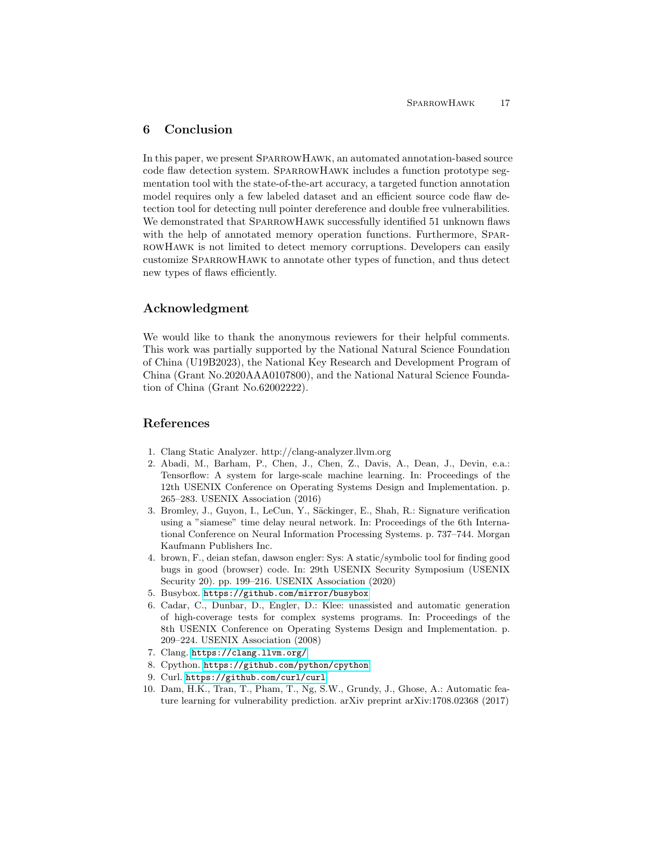# 6 Conclusion

In this paper, we present SparrowHawk, an automated annotation-based source code flaw detection system. SparrowHawk includes a function prototype segmentation tool with the state-of-the-art accuracy, a targeted function annotation model requires only a few labeled dataset and an efficient source code flaw detection tool for detecting null pointer dereference and double free vulnerabilities. We demonstrated that SPARROWHAWK successfully identified 51 unknown flaws with the help of annotated memory operation functions. Furthermore, SPARrowHawk is not limited to detect memory corruptions. Developers can easily customize SparrowHawk to annotate other types of function, and thus detect new types of flaws efficiently.

## Acknowledgment

We would like to thank the anonymous reviewers for their helpful comments. This work was partially supported by the National Natural Science Foundation of China (U19B2023), the National Key Research and Development Program of China (Grant No.2020AAA0107800), and the National Natural Science Foundation of China (Grant No.62002222).

## References

- <span id="page-16-3"></span>1. Clang Static Analyzer. http://clang-analyzer.llvm.org
- <span id="page-16-2"></span>2. Abadi, M., Barham, P., Chen, J., Chen, Z., Davis, A., Dean, J., Devin, e.a.: Tensorflow: A system for large-scale machine learning. In: Proceedings of the 12th USENIX Conference on Operating Systems Design and Implementation. p. 265–283. USENIX Association (2016)
- <span id="page-16-0"></span>3. Bromley, J., Guyon, I., LeCun, Y., Säckinger, E., Shah, R.: Signature verification using a "siamese" time delay neural network. In: Proceedings of the 6th International Conference on Neural Information Processing Systems. p. 737–744. Morgan Kaufmann Publishers Inc.
- <span id="page-16-9"></span>4. brown, F., deian stefan, dawson engler: Sys: A static/symbolic tool for finding good bugs in good (browser) code. In: 29th USENIX Security Symposium (USENIX Security 20). pp. 199–216. USENIX Association (2020)
- <span id="page-16-5"></span>5. Busybox. <https://github.com/mirror/busybox>
- <span id="page-16-8"></span>6. Cadar, C., Dunbar, D., Engler, D.: Klee: unassisted and automatic generation of high-coverage tests for complex systems programs. In: Proceedings of the 8th USENIX Conference on Operating Systems Design and Implementation. p. 209–224. USENIX Association (2008)
- <span id="page-16-1"></span>7. Clang. <https://clang.llvm.org/>
- <span id="page-16-4"></span>8. Cpython. <https://github.com/python/cpython>
- <span id="page-16-6"></span>9. Curl. <https://github.com/curl/curl>
- <span id="page-16-7"></span>10. Dam, H.K., Tran, T., Pham, T., Ng, S.W., Grundy, J., Ghose, A.: Automatic feature learning for vulnerability prediction. arXiv preprint arXiv:1708.02368 (2017)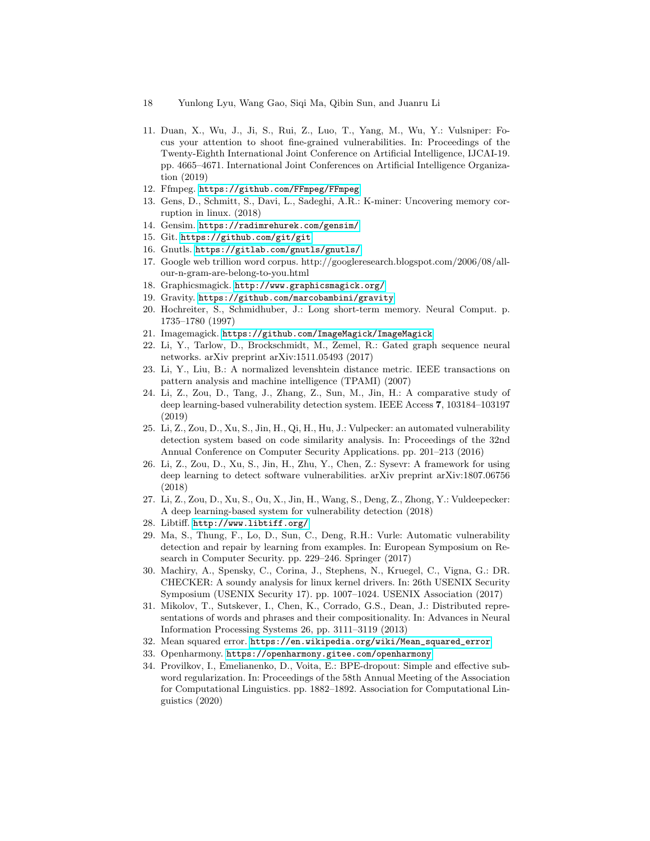- 18 Yunlong Lyu, Wang Gao, Siqi Ma, Qibin Sun, and Juanru Li
- <span id="page-17-19"></span>11. Duan, X., Wu, J., Ji, S., Rui, Z., Luo, T., Yang, M., Wu, Y.: Vulsniper: Focus your attention to shoot fine-grained vulnerabilities. In: Proceedings of the Twenty-Eighth International Joint Conference on Artificial Intelligence, IJCAI-19. pp. 4665–4671. International Joint Conferences on Artificial Intelligence Organization (2019)
- <span id="page-17-5"></span>12. Ffmpeg. <https://github.com/FFmpeg/FFmpeg>
- <span id="page-17-22"></span>13. Gens, D., Schmitt, S., Davi, L., Sadeghi, A.R.: K-miner: Uncovering memory corruption in linux. (2018)
- <span id="page-17-7"></span>14. Gensim. <https://radimrehurek.com/gensim/>
- <span id="page-17-13"></span>15. Git. <https://github.com/git/git>
- <span id="page-17-12"></span>16. Gnutls. <https://gitlab.com/gnutls/gnutls/>
- <span id="page-17-15"></span>17. Google web trillion word corpus. http://googleresearch.blogspot.com/2006/08/allour-n-gram-are-belong-to-you.html
- <span id="page-17-10"></span>18. Graphicsmagick. <http://www.graphicsmagick.org/>
- <span id="page-17-16"></span>19. Gravity. <https://github.com/marcobambini/gravity>
- <span id="page-17-20"></span>20. Hochreiter, S., Schmidhuber, J.: Long short-term memory. Neural Comput. p. 1735–1780 (1997)
- <span id="page-17-9"></span>21. Imagemagick. <https://github.com/ImageMagick/ImageMagick>
- <span id="page-17-21"></span>22. Li, Y., Tarlow, D., Brockschmidt, M., Zemel, R.: Gated graph sequence neural networks. arXiv preprint arXiv:1511.05493 (2017)
- <span id="page-17-14"></span>23. Li, Y., Liu, B.: A normalized levenshtein distance metric. IEEE transactions on pattern analysis and machine intelligence (TPAMI) (2007)
- <span id="page-17-1"></span>24. Li, Z., Zou, D., Tang, J., Zhang, Z., Sun, M., Jin, H.: A comparative study of deep learning-based vulnerability detection system. IEEE Access 7, 103184–103197 (2019)
- <span id="page-17-2"></span>25. Li, Z., Zou, D., Xu, S., Jin, H., Qi, H., Hu, J.: Vulpecker: an automated vulnerability detection system based on code similarity analysis. In: Proceedings of the 32nd Annual Conference on Computer Security Applications. pp. 201–213 (2016)
- <span id="page-17-17"></span>26. Li, Z., Zou, D., Xu, S., Jin, H., Zhu, Y., Chen, Z.: Sysevr: A framework for using deep learning to detect software vulnerabilities. arXiv preprint arXiv:1807.06756 (2018)
- <span id="page-17-18"></span>27. Li, Z., Zou, D., Xu, S., Ou, X., Jin, H., Wang, S., Deng, Z., Zhong, Y.: Vuldeepecker: A deep learning-based system for vulnerability detection (2018)
- <span id="page-17-11"></span>28. Libtiff. <http://www.libtiff.org/>
- <span id="page-17-0"></span>29. Ma, S., Thung, F., Lo, D., Sun, C., Deng, R.H.: Vurle: Automatic vulnerability detection and repair by learning from examples. In: European Symposium on Research in Computer Security. pp. 229–246. Springer (2017)
- <span id="page-17-23"></span>30. Machiry, A., Spensky, C., Corina, J., Stephens, N., Kruegel, C., Vigna, G.: DR. CHECKER: A soundy analysis for linux kernel drivers. In: 26th USENIX Security Symposium (USENIX Security 17). pp. 1007–1024. USENIX Association (2017)
- <span id="page-17-8"></span>31. Mikolov, T., Sutskever, I., Chen, K., Corrado, G.S., Dean, J.: Distributed representations of words and phrases and their compositionality. In: Advances in Neural Information Processing Systems 26, pp. 3111–3119 (2013)
- <span id="page-17-6"></span>32. Mean squared error. [https://en.wikipedia.org/wiki/Mean\\_squared\\_error](https://en.wikipedia.org/wiki/Mean_squared_error)
- <span id="page-17-4"></span>33. Openharmony. <https://openharmony.gitee.com/openharmony>
- <span id="page-17-3"></span>34. Provilkov, I., Emelianenko, D., Voita, E.: BPE-dropout: Simple and effective subword regularization. In: Proceedings of the 58th Annual Meeting of the Association for Computational Linguistics. pp. 1882–1892. Association for Computational Linguistics (2020)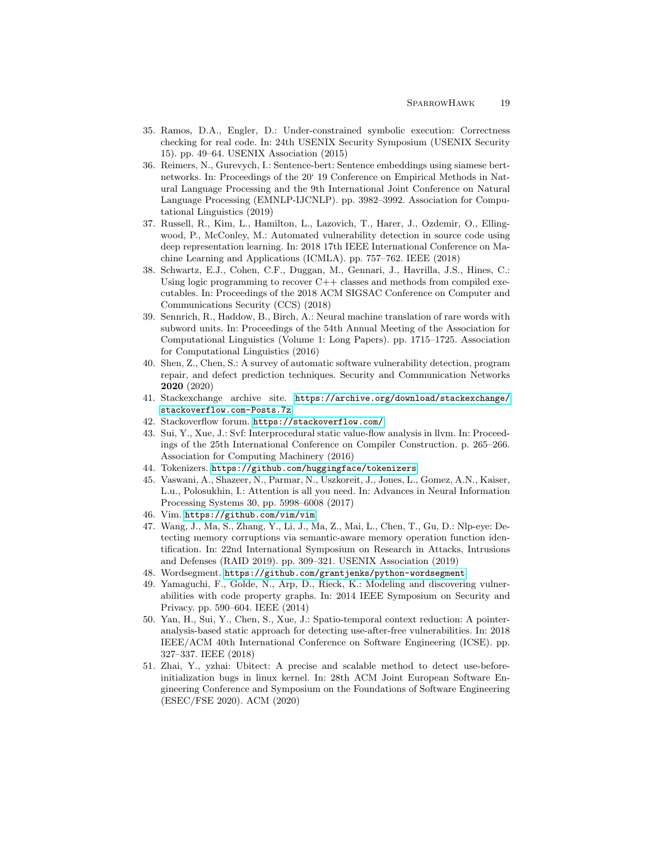- <span id="page-18-15"></span>35. Ramos, D.A., Engler, D.: Under-constrained symbolic execution: Correctness checking for real code. In: 24th USENIX Security Symposium (USENIX Security 15). pp. 49–64. USENIX Association (2015)
- <span id="page-18-7"></span>36. Reimers, N., Gurevych, I.: Sentence-bert: Sentence embeddings using siamese bertnetworks. In: Proceedings of the 20' 19 Conference on Empirical Methods in Natural Language Processing and the 9th International Joint Conference on Natural Language Processing (EMNLP-IJCNLP). pp. 3982–3992. Association for Computational Linguistics (2019)
- <span id="page-18-2"></span>37. Russell, R., Kim, L., Hamilton, L., Lazovich, T., Harer, J., Ozdemir, O., Ellingwood, P., McConley, M.: Automated vulnerability detection in source code using deep representation learning. In: 2018 17th IEEE International Conference on Machine Learning and Applications (ICMLA). pp. 757–762. IEEE (2018)
- <span id="page-18-12"></span>38. Schwartz, E.J., Cohen, C.F., Duggan, M., Gennari, J., Havrilla, J.S., Hines, C.: Using logic programming to recover  $C++$  classes and methods from compiled executables. In: Proceedings of the 2018 ACM SIGSAC Conference on Computer and Communications Security (CCS) (2018)
- <span id="page-18-4"></span>39. Sennrich, R., Haddow, B., Birch, A.: Neural machine translation of rare words with subword units. In: Proceedings of the 54th Annual Meeting of the Association for Computational Linguistics (Volume 1: Long Papers). pp. 1715–1725. Association for Computational Linguistics (2016)
- <span id="page-18-0"></span>40. Shen, Z., Chen, S.: A survey of automatic software vulnerability detection, program repair, and defect prediction techniques. Security and Communication Networks 2020 (2020)
- <span id="page-18-5"></span>41. Stackexchange archive site. [https://archive.org/download/stackexchange/](https://archive.org/download/stackexchange/stackoverflow.com-Posts.7z) [stackoverflow.com-Posts.7z](https://archive.org/download/stackexchange/stackoverflow.com-Posts.7z)
- <span id="page-18-3"></span>42. Stackoverflow forum. <https://stackoverflow.com/>
- <span id="page-18-14"></span>43. Sui, Y., Xue, J.: Svf: Interprocedural static value-flow analysis in llvm. In: Proceedings of the 25th International Conference on Compiler Construction. p. 265–266. Association for Computing Machinery (2016)
- <span id="page-18-8"></span>44. Tokenizers. <https://github.com/huggingface/tokenizers>
- <span id="page-18-6"></span>45. Vaswani, A., Shazeer, N., Parmar, N., Uszkoreit, J., Jones, L., Gomez, A.N., Kaiser, L.u., Polosukhin, I.: Attention is all you need. In: Advances in Neural Information Processing Systems 30, pp. 5998–6008 (2017)
- <span id="page-18-11"></span>46. Vim. <https://github.com/vim/vim>
- <span id="page-18-10"></span>47. Wang, J., Ma, S., Zhang, Y., Li, J., Ma, Z., Mai, L., Chen, T., Gu, D.: Nlp-eye: Detecting memory corruptions via semantic-aware memory operation function identification. In: 22nd International Symposium on Research in Attacks, Intrusions and Defenses (RAID 2019). pp. 309–321. USENIX Association (2019)
- <span id="page-18-9"></span>48. Wordsegment. <https://github.com/grantjenks/python-wordsegment>
- <span id="page-18-13"></span>49. Yamaguchi, F., Golde, N., Arp, D., Rieck, K.: Modeling and discovering vulnerabilities with code property graphs. In: 2014 IEEE Symposium on Security and Privacy. pp. 590–604. IEEE (2014)
- <span id="page-18-1"></span>50. Yan, H., Sui, Y., Chen, S., Xue, J.: Spatio-temporal context reduction: A pointeranalysis-based static approach for detecting use-after-free vulnerabilities. In: 2018 IEEE/ACM 40th International Conference on Software Engineering (ICSE). pp. 327–337. IEEE (2018)
- <span id="page-18-16"></span>51. Zhai, Y., yzhai: Ubitect: A precise and scalable method to detect use-beforeinitialization bugs in linux kernel. In: 28th ACM Joint European Software Engineering Conference and Symposium on the Foundations of Software Engineering (ESEC/FSE 2020). ACM (2020)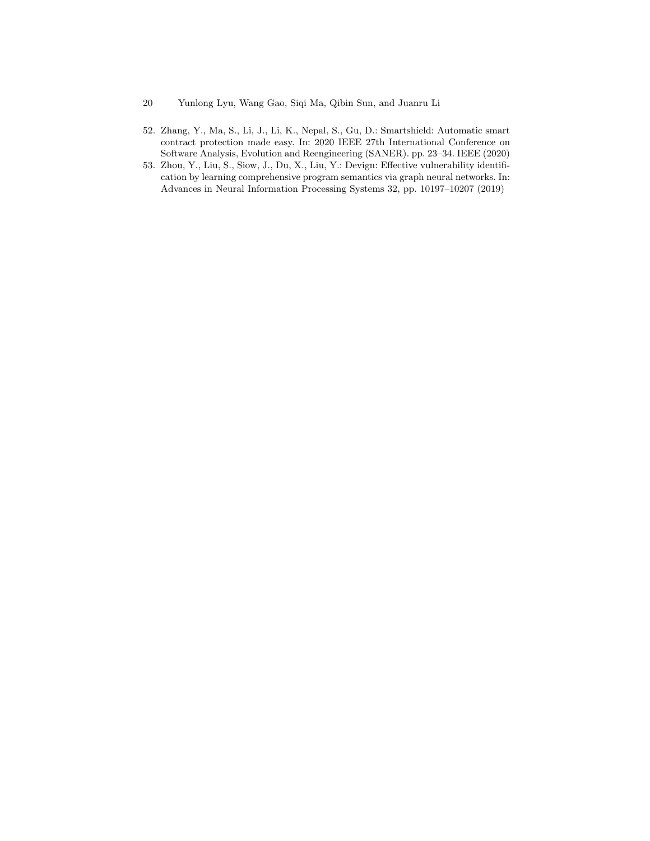- 20 Yunlong Lyu, Wang Gao, Siqi Ma, Qibin Sun, and Juanru Li
- <span id="page-19-0"></span>52. Zhang, Y., Ma, S., Li, J., Li, K., Nepal, S., Gu, D.: Smartshield: Automatic smart contract protection made easy. In: 2020 IEEE 27th International Conference on Software Analysis, Evolution and Reengineering (SANER). pp. 23–34. IEEE (2020)
- <span id="page-19-1"></span>53. Zhou, Y., Liu, S., Siow, J., Du, X., Liu, Y.: Devign: Effective vulnerability identification by learning comprehensive program semantics via graph neural networks. In: Advances in Neural Information Processing Systems 32, pp. 10197–10207 (2019)